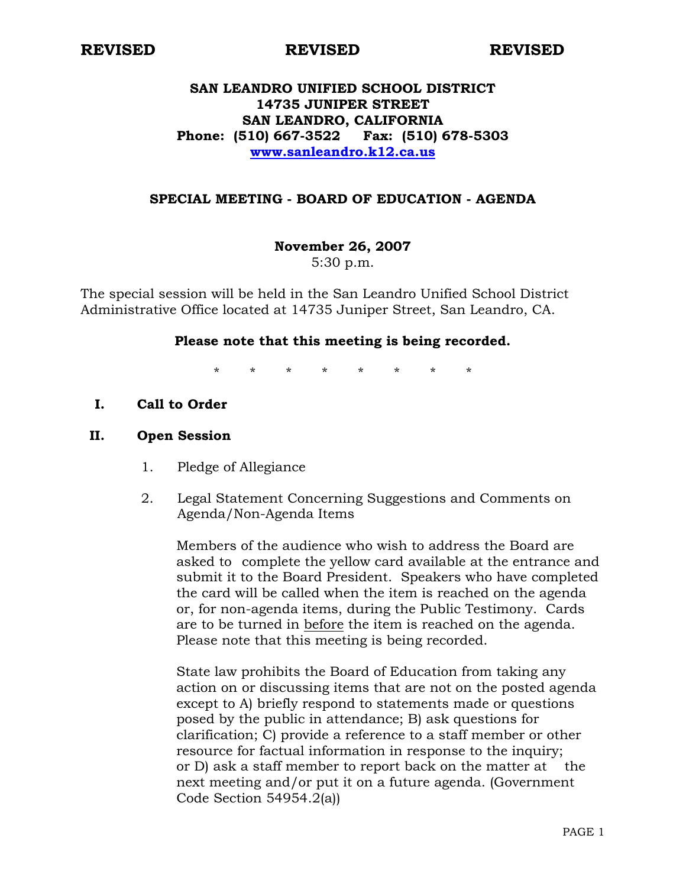#### **REVISED REVISED REVISED**

# **SAN LEANDRO UNIFIED SCHOOL DISTRICT 14735 JUNIPER STREET SAN LEANDRO, CALIFORNIA Phone: (510) 667-3522 Fax: (510) 678-5303 www.sanleandro.k12.ca.us**

### **SPECIAL MEETING - BOARD OF EDUCATION - AGENDA**

**November 26, 2007** 

5:30 p.m.

The special session will be held in the San Leandro Unified School District Administrative Office located at 14735 Juniper Street, San Leandro, CA.

#### **Please note that this meeting is being recorded.**

\* \* \* \* \* \* \* \*

**I. Call to Order** 

#### **II. Open Session**

- 1. Pledge of Allegiance
- 2. Legal Statement Concerning Suggestions and Comments on Agenda/Non-Agenda Items

 Members of the audience who wish to address the Board are asked to complete the yellow card available at the entrance and submit it to the Board President. Speakers who have completed the card will be called when the item is reached on the agenda or, for non-agenda items, during the Public Testimony. Cards are to be turned in before the item is reached on the agenda. Please note that this meeting is being recorded.

 State law prohibits the Board of Education from taking any action on or discussing items that are not on the posted agenda except to A) briefly respond to statements made or questions posed by the public in attendance; B) ask questions for clarification; C) provide a reference to a staff member or other resource for factual information in response to the inquiry; or D) ask a staff member to report back on the matter at the next meeting and/or put it on a future agenda. (Government Code Section 54954.2(a))